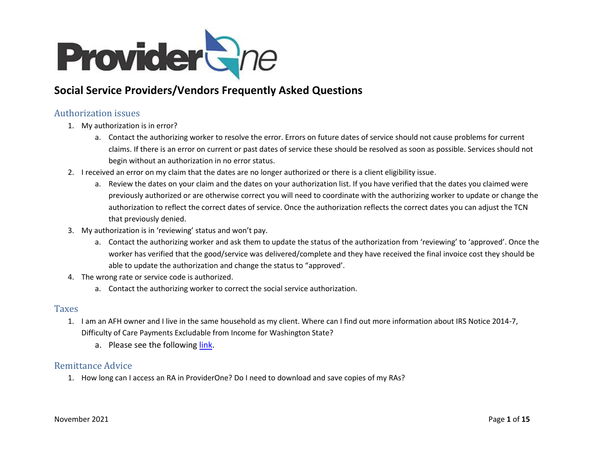

# **Social Service Providers/Vendors Frequently Asked Questions**

## Authorization issues

- 1. My authorization is in error?
	- a. Contact the authorizing worker to resolve the error. Errors on future dates of service should not cause problems for current claims. If there is an error on current or past dates of service these should be resolved as soon as possible. Services should not begin without an authorization in no error status.
- 2. I received an error on my claim that the dates are no longer authorized or there is a client eligibility issue.
	- a. Review the dates on your claim and the dates on your authorization list. If you have verified that the dates you claimed were previously authorized or are otherwise correct you will need to coordinate with the authorizing worker to update or change the authorization to reflect the correct dates of service. Once the authorization reflects the correct dates you can adjust the TCN that previously denied.
- 3. My authorization is in 'reviewing' status and won't pay.
	- a. Contact the authorizing worker and ask them to update the status of the authorization from 'reviewing' to 'approved'. Once the worker has verified that the good/service was delivered/complete and they have received the final invoice cost they should be able to update the authorization and change the status to "approved'.
- 4. The wrong rate or service code is authorized.
	- a. Contact the authorizing worker to correct the social service authorization.

#### Taxes

- 1. I am an AFH owner and I live in the same household as my client. Where can I find out more information about IRS Notice 2014-7, Difficulty of Care Payments Excludable from Income for Washington State?
	- a. Please see the following [link.](https://www.dshs.wa.gov/altsa/irs-notice-2014-7-difficulty-care-payments-excludable-income)

#### Remittance Advice

1. How long can I access an RA in ProviderOne? Do I need to download and save copies of my RAs?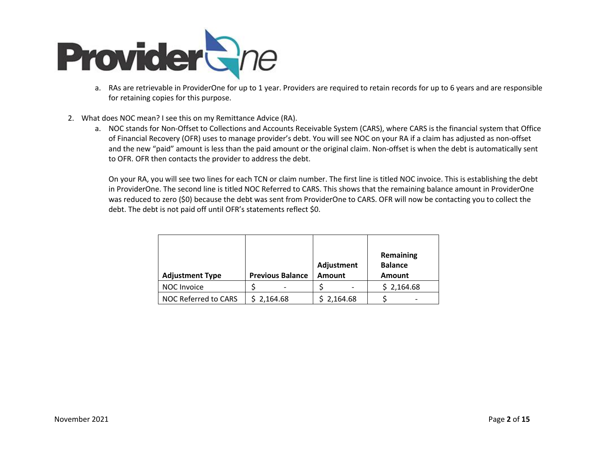

- a. RAs are retrievable in ProviderOne for up to 1 year. Providers are required to retain records for up to 6 years and are responsible for retaining copies for this purpose.
- 2. What does NOC mean? I see this on my Remittance Advice (RA).
	- a. NOC stands for Non-Offset to Collections and Accounts Receivable System (CARS), where CARS is the financial system that Office of Financial Recovery (OFR) uses to manage provider's debt. You will see NOC on your RA if a claim has adjusted as non-offset and the new "paid" amount is less than the paid amount or the original claim. Non-offset is when the debt is automatically sent to OFR. OFR then contacts the provider to address the debt.

On your RA, you will see two lines for each TCN or claim number. The first line is titled NOC invoice. This is establishing the debt in ProviderOne. The second line is titled NOC Referred to CARS. This shows that the remaining balance amount in ProviderOne was reduced to zero (\$0) because the debt was sent from ProviderOne to CARS. OFR will now be contacting you to collect the debt. The debt is not paid off until OFR's statements reflect \$0.

| <b>Adjustment Type</b> | <b>Previous Balance</b> | Adjustment<br><b>Amount</b> | Remaining<br><b>Balance</b><br><b>Amount</b> |
|------------------------|-------------------------|-----------------------------|----------------------------------------------|
| NOC Invoice            |                         |                             | \$2,164.68                                   |
| NOC Referred to CARS   | \$2,164.68              | \$2,164.68                  | -                                            |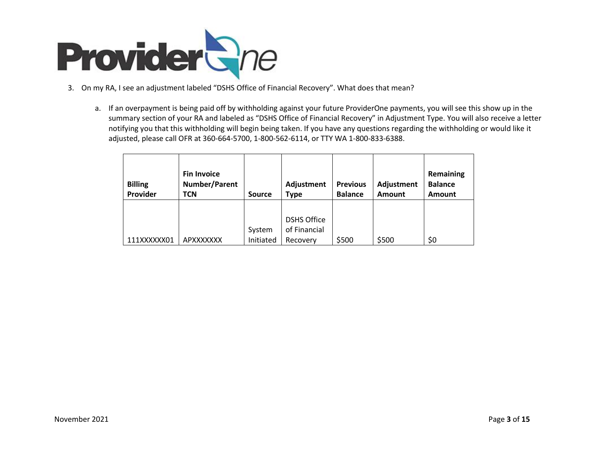

- 3. On my RA, I see an adjustment labeled "DSHS Office of Financial Recovery". What does that mean?
	- a. If an overpayment is being paid off by withholding against your future ProviderOne payments, you will see this show up in the summary section of your RA and labeled as "DSHS Office of Financial Recovery" in Adjustment Type. You will also receive a letter notifying you that this withholding will begin being taken. If you have any questions regarding the withholding or would like it adjusted, please call OFR at 360-664-5700, 1-800-562-6114, or TTY WA 1-800-833-6388.

| <b>Billing</b><br>Provider | <b>Fin Invoice</b><br><b>Number/Parent</b><br>TCN | <b>Source</b>       |                                                | <b>Previous</b><br><b>Balance</b> | Adjustment<br>Amount | Remaining<br><b>Balance</b><br>Amount |  |
|----------------------------|---------------------------------------------------|---------------------|------------------------------------------------|-----------------------------------|----------------------|---------------------------------------|--|
| 111XXXXXX01                | APXXXXXXX                                         | System<br>Initiated | <b>DSHS Office</b><br>of Financial<br>Recovery | \$500                             | \$500                | \$0                                   |  |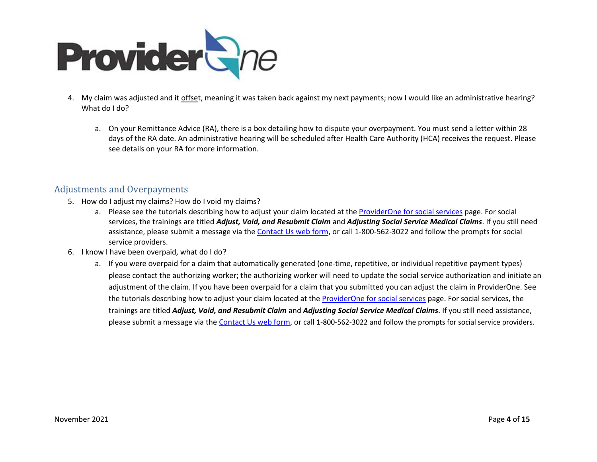

- 4. My claim was adjusted and it offset, meaning it was taken back against my next payments; now I would like an administrative hearing? What do I do?
	- a. On your Remittance Advice (RA), there is a box detailing how to dispute your overpayment. You must send a letter within 28 days of the RA date. An administrative hearing will be scheduled after Health Care Authority (HCA) receives the request. Please see details on your RA for more information.

### Adjustments and Overpayments

- 5. How do I adjust my claims? How do I void my claims?
	- a. Please see the tutorials describing how to adjust your claim located at the [ProviderOne for social services](http://www.hca.wa.gov/node/2371) page. For social services, the trainings are titled *Adjust, Void, and Resubmit Claim* and *Adjusting Social Service Medical Claims*. If you still need assistance, please submit a message via the [Contact Us web form,](https://fortress.wa.gov/hca/p1contactus/SSProvider_WebForm) or call 1-800-562-3022 and follow the prompts for social service providers.
- 6. I know I have been overpaid, what do I do?
	- a. If you were overpaid for a claim that automatically generated (one-time, repetitive, or individual repetitive payment types) please contact the authorizing worker; the authorizing worker will need to update the social service authorization and initiate an adjustment of the claim. If you have been overpaid for a claim that you submitted you can adjust the claim in ProviderOne. See the tutorials describing how to adjust your claim located at the **ProviderOne for social services** page. For social services, the trainings are titled *Adjust, Void, and Resubmit Claim* and *Adjusting Social Service Medical Claims*. If you still need assistance, please submit a message via th[e Contact Us web form,](https://fortress.wa.gov/hca/p1contactus/SSProvider_WebForm) or call 1-800-562-3022 and follow the prompts for social service providers.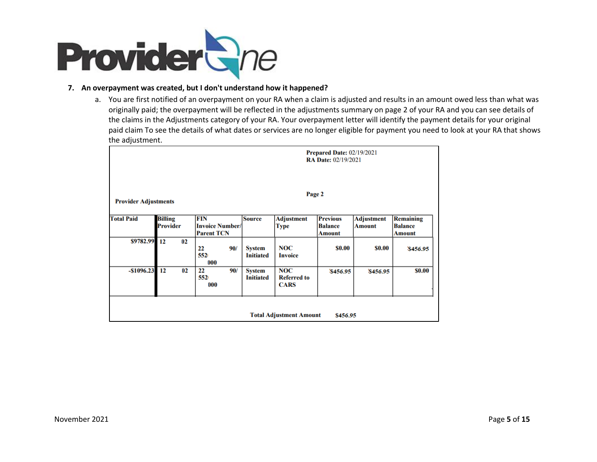

#### **7. An overpayment was created, but I don't understand how it happened?**

a. You are first notified of an overpayment on your RA when a claim is adjusted and results in an amount owed less than what was originally paid; the overpayment will be reflected in the adjustments summary on page 2 of your RA and you can see details of the claims in the Adjustments category of your RA. Your overpayment letter will identify the payment details for your original paid claim To see the details of what dates or services are no longer eligible for payment you need to look at your RA that shows the adjustment.

|                                            |                 | <b>Prepared Date: 02/19/2021</b><br><b>RA Date: 02/19/2021</b> |                                   |                                                 |                                           |                   |                    |  |  |  |  |  |  |
|--------------------------------------------|-----------------|----------------------------------------------------------------|-----------------------------------|-------------------------------------------------|-------------------------------------------|-------------------|--------------------|--|--|--|--|--|--|
| Page 2<br><b>Provider Adjustments</b>      |                 |                                                                |                                   |                                                 |                                           |                   |                    |  |  |  |  |  |  |
| <b>Total Paid</b>                          | <b>Billing</b>  | FIN                                                            | <b>Source</b>                     | <b>Adjustment</b>                               | <b>Previous</b>                           | <b>Adjustment</b> | <b>Remaining</b>   |  |  |  |  |  |  |
|                                            | <b>Provider</b> | <b>Invoice Number/</b><br><b>Parent TCN</b>                    |                                   | Type                                            | <b>Balance</b><br><b>Amount</b><br>Amount |                   | <b>Balance</b>     |  |  |  |  |  |  |
| \$9782.99 12                               | 02              | 90/<br>22<br>552<br>000                                        | <b>System</b><br><b>Initiated</b> | <b>NOC</b><br><b>Invoice</b>                    | \$0.00                                    | \$0.00            | Amount<br>\$456.95 |  |  |  |  |  |  |
| $-$1096.23$ 12                             | 02              | 22<br>90/<br>552<br>000                                        | <b>System</b><br><b>Initiated</b> | <b>NOC</b><br><b>Referred to</b><br><b>CARS</b> | \$456.95                                  | \$456.95          | \$0.00             |  |  |  |  |  |  |
| <b>Total Adjustment Amount</b><br>\$456.95 |                 |                                                                |                                   |                                                 |                                           |                   |                    |  |  |  |  |  |  |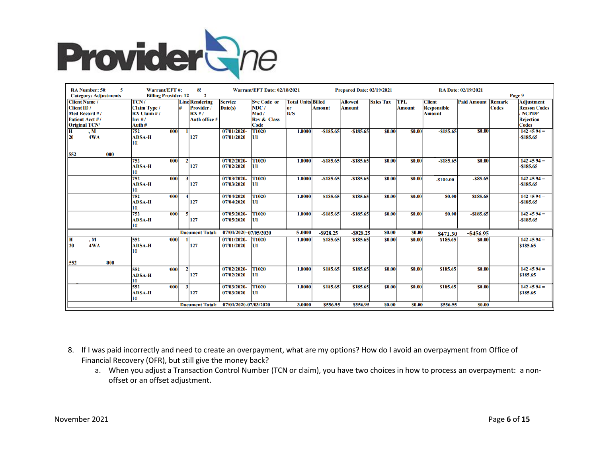

| <b>RA</b> Number: 50:<br>5   | Warrant/EFT#:               |                     | 8!                      |                       | <b>Warrant/EFT Date: 02/18/2021</b> |                           |               | <b>Prepared Date: 02/19/2021</b> |                  | RA Date: 02/19/2021 |                    |                           |              |                     |
|------------------------------|-----------------------------|---------------------|-------------------------|-----------------------|-------------------------------------|---------------------------|---------------|----------------------------------|------------------|---------------------|--------------------|---------------------------|--------------|---------------------|
| <b>Category: Adjustments</b> | <b>Billing Provider: 12</b> |                     | 2                       |                       |                                     |                           |               |                                  |                  |                     |                    |                           | Page 9       |                     |
| <b>Client Name /</b>         | TCN/                        |                     | <b>Line Rendering</b>   | <b>Service</b>        | <b>Svc Code or</b>                  | <b>Total Units Billed</b> |               | <b>Allowed</b>                   | <b>Sales Tax</b> | <b>TPL</b>          | <b>Client</b>      | <b>Paid Amount Remark</b> |              | <b>Adjustment</b>   |
| Client ID /                  | <b>Claim Type /</b>         |                     | Provider /              | Date(s)               | NDC/                                | or                        | <b>Amount</b> | <b>Amount</b>                    |                  | <b>Amount</b>       | <b>Responsible</b> |                           | <b>Codes</b> | <b>Reason Codes</b> |
| Med Record #/                | $RX$ Claim $#/$             |                     | RX#/                    |                       | Mod /                               | D/S                       |               |                                  |                  |                     | <b>Amount</b>      |                           |              | / NCPDP             |
| Patient Acct #/              | Inv#/                       |                     | Auth office #           |                       | <b>Rev &amp; Class</b>              |                           |               |                                  |                  |                     |                    |                           |              | <b>Rejection</b>    |
| <b>Original TCN/</b>         | Auth #                      |                     |                         |                       | Code                                |                           |               |                                  |                  |                     |                    |                           |              | <b>Codes</b>        |
| , M<br>H.                    | 752                         | 000                 |                         | 07/01/2020-           | T1020                               | 1.0000                    | $- $185.65$   | $-5185.65$                       | <b>SO.00</b>     | \$0.00              | $- $185.65$        | <b>SO.00</b>              |              | $1424594 =$         |
| 4WA<br>20                    | <b>ADSA-H</b>               |                     | 127                     | 07/01/2020            | $\mathbf{U}$                        |                           |               |                                  |                  |                     |                    |                           |              | $-$185.65$          |
|                              | 10                          |                     |                         |                       |                                     |                           |               |                                  |                  |                     |                    |                           |              |                     |
| 552<br>000                   |                             |                     |                         |                       |                                     |                           |               |                                  |                  |                     |                    |                           |              |                     |
|                              | 752                         | 000<br>$\mathbf{2}$ |                         | 07/02/2020-           | T1020                               | 1.0000                    | $- $185.65$   | $-$185.65$                       | \$0.00           | \$0.00              | $- $185.65$        | <b>SO.00</b>              |              | $1424594 =$         |
|                              | <b>ADSA-H</b>               |                     | 127                     | 07/02/2020            | U1                                  |                           |               |                                  |                  |                     |                    |                           |              | $-$ \$185.65        |
|                              |                             |                     |                         |                       |                                     |                           |               |                                  |                  |                     |                    |                           |              |                     |
|                              | 752                         | 000<br>$\mathbf{3}$ |                         | 07/03/2020-           | T1020                               | 1.0000                    | $-$185.65$    | $-$185.65$                       | \$0.00           | \$0.00              | $-$100.00$         | $-585.65$                 |              | $1424594 =$         |
|                              | <b>ADSA-H</b>               |                     | 127                     | 07/03/2020            | U1                                  |                           |               |                                  |                  |                     |                    |                           |              | $-$ \$185.65        |
|                              | 10                          |                     |                         |                       |                                     |                           |               |                                  |                  |                     |                    |                           |              |                     |
|                              | 752                         | 000                 |                         | 07/04/2020-           | T1020                               | 1.0000                    | $-$185.65$    | $-$185.65$                       | \$0.00           | \$0.00              | \$0.00             | $-5185.65$                |              | $1424594 =$         |
|                              | <b>ADSA-H</b>               |                     | 127                     | 07/04/2020            | U1                                  |                           |               |                                  |                  |                     |                    |                           |              | $-$ \$185.65        |
|                              |                             |                     |                         |                       |                                     |                           |               |                                  |                  |                     |                    |                           |              |                     |
|                              | 752                         | 000<br>5            |                         | 07/05/2020-           | T1020                               | 1.0000                    | $-$185.65$    | $-$185.65$                       | \$0.00           | \$0.00              | \$0.00             | $-5185.65$                |              | $1424594 =$         |
|                              | <b>ADSA-H</b>               |                     | 127                     | 07/05/2020            | U1                                  |                           |               |                                  |                  |                     |                    |                           |              | $-$ \$185.65        |
|                              | 10                          |                     |                         |                       |                                     |                           |               |                                  |                  |                     |                    |                           |              |                     |
|                              |                             |                     | <b>Document Total:</b>  | 07/01/2020-07/05/2020 |                                     | 5.0000                    | $-$ \$928.25  | $-$ \$928.25                     | \$0.00           | \$0.00              | $-$ \$471.30       | $-$ \$456.95              |              |                     |
| H<br>$\cdot$ M               | 552                         | 000                 |                         | 07/01/2020-           | <b>T1020</b>                        | 1.0000                    | \$185.65      | \$185.65                         | <b>SO.00</b>     | \$0.00              | \$185.65           | <b>SO.00</b>              |              | $1424594=$          |
| 20<br>4WA                    | <b>ADSA-H</b>               |                     | 127                     | 07/01/2020            | U1                                  |                           |               |                                  |                  |                     |                    |                           |              | \$185.65            |
|                              | 10                          |                     |                         |                       |                                     |                           |               |                                  |                  |                     |                    |                           |              |                     |
| 552<br>000                   |                             |                     |                         |                       |                                     |                           |               |                                  |                  |                     |                    |                           |              |                     |
|                              | 552                         | $\mathbf{2}$<br>000 |                         | 07/02/2020-           | T1020                               | 1.0000                    | \$185.65      | \$185.65                         | \$0.00           | \$0.00              | \$185.65           | <b>\$0.00</b>             |              | $1424594 =$         |
|                              | <b>ADSA-H</b>               |                     | 127                     | 07/02/2020            | U1                                  |                           |               |                                  |                  |                     |                    |                           |              | \$185.65            |
|                              | 10                          |                     |                         |                       |                                     |                           |               |                                  |                  |                     |                    |                           |              |                     |
|                              | 552                         | <b>000</b>          | $\overline{\mathbf{3}}$ | 07/03/2020-           | T1020                               | 1.0000                    | \$185.65      | \$185.65                         | <b>SO.00</b>     | \$0.00              | \$185.65           | <b>SO.00</b>              |              | $1424594 =$         |
|                              | <b>ADSA-H</b>               |                     | 127                     | 07/03/2020            | U1                                  |                           |               |                                  |                  |                     |                    |                           |              | \$185.65            |
|                              | 10                          |                     |                         |                       |                                     |                           |               |                                  |                  |                     |                    |                           |              |                     |
|                              |                             |                     | <b>Document Total:</b>  | 07/01/2020-07/03/2020 |                                     | 3.0000                    | \$556.95      | \$556.95                         | \$0.00           | \$0.00              | \$556.95           | \$0.00                    |              |                     |

- 8. If I was paid incorrectly and need to create an overpayment, what are my options? How do I avoid an overpayment from Office of Financial Recovery (OFR), but still give the money back?
	- a. When you adjust a Transaction Control Number (TCN or claim), you have two choices in how to process an overpayment: a nonoffset or an offset adjustment.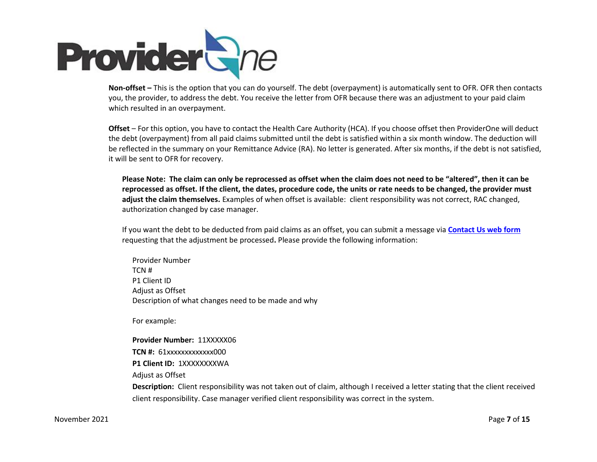

**Non-offset –** This is the option that you can do yourself. The debt (overpayment) is automatically sent to OFR. OFR then contacts you, the provider, to address the debt. You receive the letter from OFR because there was an adjustment to your paid claim which resulted in an overpayment.

**Offset** – For this option, you have to contact the Health Care Authority (HCA). If you choose offset then ProviderOne will deduct the debt (overpayment) from all paid claims submitted until the debt is satisfied within a six month window. The deduction will be reflected in the summary on your Remittance Advice (RA). No letter is generated. After six months, if the debt is not satisfied, it will be sent to OFR for recovery.

**Please Note: The claim can only be reprocessed as offset when the claim does not need to be "altered", then it can be reprocessed as offset. If the client, the dates, procedure code, the units or rate needs to be changed, the provider must adjust the claim themselves.** Examples of when offset is available: client responsibility was not correct, RAC changed, authorization changed by case manager.

If you want the debt to be deducted from paid claims as an offset, you can submit a message via **[Contact Us web form](https://fortress.wa.gov/hca/p1contactus/SSProvider_WebForm)** requesting that the adjustment be processed**.** Please provide the following information:

Provider Number TCN # P1 Client ID Adjust as Offset Description of what changes need to be made and why

For example:

**Provider Number:** 11XXXXX06 **TCN #: 61xxxxxxxxxxxxx000 P1 Client ID: 1XXXXXXXXWA** Adjust as Offset **Description:** Client responsibility was not taken out of claim, although I received a letter stating that the client received client responsibility. Case manager verified client responsibility was correct in the system.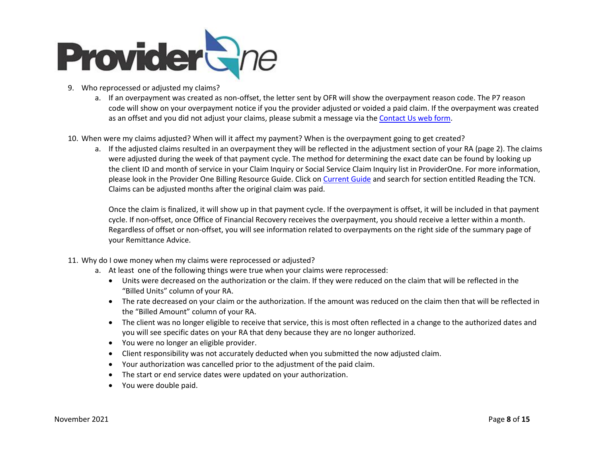

- 9. Who reprocessed or adjusted my claims?
	- a. If an overpayment was created as non-offset, the letter sent by OFR will show the overpayment reason code. The P7 reason code will show on your overpayment notice if you the provider adjusted or voided a paid claim. If the overpayment was created as an offset and you did not adjust your claims, please submit a message via the [Contact Us web form.](https://fortress.wa.gov/hca/p1contactus/SSProvider_WebForm)
- 10. When were my claims adjusted? When will it affect my payment? When is the overpayment going to get created?
	- a. If the adjusted claims resulted in an overpayment they will be reflected in the adjustment section of your RA (page 2). The claims were adjusted during the week of that payment cycle. The method for determining the exact date can be found by looking up the client ID and month of service in your Claim Inquiry or Social Service Claim Inquiry list in ProviderOne. For more information, please look in the Provider One Billing Resource Guide. Click o[n Current Guide](http://www.hca.wa.gov/assets/billers-and-providers/providerone-billing-and-resource-guide.pdf) and search for section entitled Reading the TCN. Claims can be adjusted months after the original claim was paid.

Once the claim is finalized, it will show up in that payment cycle. If the overpayment is offset, it will be included in that payment cycle. If non-offset, once Office of Financial Recovery receives the overpayment, you should receive a letter within a month. Regardless of offset or non-offset, you will see information related to overpayments on the right side of the summary page of your Remittance Advice.

- 11. Why do I owe money when my claims were reprocessed or adjusted?
	- a. At least one of the following things were true when your claims were reprocessed:
		- Units were decreased on the authorization or the claim. If they were reduced on the claim that will be reflected in the "Billed Units" column of your RA.
		- The rate decreased on your claim or the authorization. If the amount was reduced on the claim then that will be reflected in the "Billed Amount" column of your RA.
		- The client was no longer eligible to receive that service, this is most often reflected in a change to the authorized dates and you will see specific dates on your RA that deny because they are no longer authorized.
		- You were no longer an eligible provider.
		- Client responsibility was not accurately deducted when you submitted the now adjusted claim.
		- Your authorization was cancelled prior to the adjustment of the paid claim.
		- The start or end service dates were updated on your authorization.
		- You were double paid.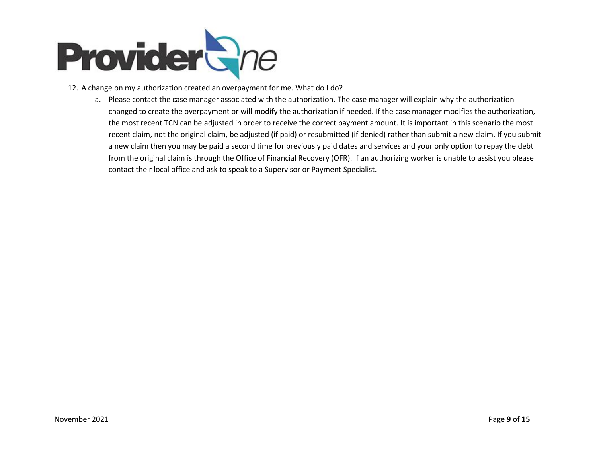

- 12. A change on my authorization created an overpayment for me. What do I do?
	- a. Please contact the case manager associated with the authorization. The case manager will explain why the authorization changed to create the overpayment or will modify the authorization if needed. If the case manager modifies the authorization, the most recent TCN can be adjusted in order to receive the correct payment amount. It is important in this scenario the most recent claim, not the original claim, be adjusted (if paid) or resubmitted (if denied) rather than submit a new claim. If you submit a new claim then you may be paid a second time for previously paid dates and services and your only option to repay the debt from the original claim is through the Office of Financial Recovery (OFR). If an authorizing worker is unable to assist you please contact their local office and ask to speak to a Supervisor or Payment Specialist.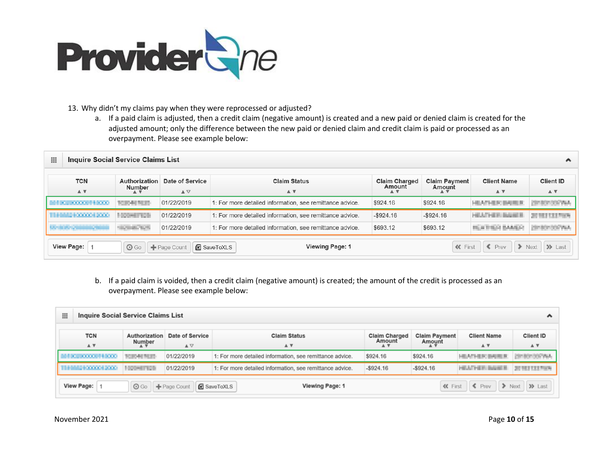

#### 13. Why didn't my claims pay when they were reprocessed or adjusted?

a. If a paid claim is adjusted, then a credit claim (negative amount) is created and a new paid or denied claim is created for the adjusted amount; only the difference between the new paid or denied claim and credit claim is paid or processed as an overpayment. Please see example below:

| 田 | <b>Inquire Social Service Claims List</b><br>́ |                                |                                                   |                                                          |                                |                                |                                                   |                                                 |  |  |  |  |  |  |
|---|------------------------------------------------|--------------------------------|---------------------------------------------------|----------------------------------------------------------|--------------------------------|--------------------------------|---------------------------------------------------|-------------------------------------------------|--|--|--|--|--|--|
|   | <b>TCN</b><br>$A$ $\overline{v}$               | Authorization<br>Number<br>A V | Date of Service<br>$\blacktriangle \triangledown$ | <b>Claim Status</b><br>$\triangle$ $\triangledown$       | <b>Claim Charged</b><br>Amount | <b>Claim Payment</b><br>Amount | <b>Client Name</b><br>$\triangle$ $\triangledown$ | <b>Client ID</b><br>$\triangle$ $\triangledown$ |  |  |  |  |  |  |
|   |                                                | <b>SCIENTIFICATION</b>         | 01/22/2019                                        | 1: For more detailed information, see remittance advice. | \$924.16                       | \$924.16                       | <b>HEATHER BARES</b>                              |                                                 |  |  |  |  |  |  |
|   | ,,,,,,,,,,,,,,                                 | <b>FRONTING</b>                | 01/22/2019                                        | 1: For more detailed information, see remittance advice. | $-$ \$924.16                   | $-$ \$924.16                   | HEATHER BAUSER                                    | 37 H                                            |  |  |  |  |  |  |
|   |                                                | <b>SCHOOL SECTION</b>          | 01/22/2019                                        | 1: For more detailed information, see remittance advice. | \$693.12                       | \$693.12                       | <b><i>BIGGI BAANCO</i></b>                        |                                                 |  |  |  |  |  |  |
|   | <b>View Page:</b>                              | $\odot$ Go                     | $\blacktriangleright$ Page Count                  | <b>Viewing Page: 1</b><br>SaveToXLS                      |                                | <b>KK</b> First                | $\epsilon$ Prev<br>$\rightarrow$                  | $\gg$ Last<br><b>Next</b>                       |  |  |  |  |  |  |

b. If a paid claim is voided, then a credit claim (negative amount) is created; the amount of the credit is processed as an overpayment. Please see example below:

| <b>Inquire Social Service Claims List</b><br>⊞<br>灬 |                         |                                         |                                                          |                                |                                |                                  |                    |  |  |  |  |  |  |
|-----------------------------------------------------|-------------------------|-----------------------------------------|----------------------------------------------------------|--------------------------------|--------------------------------|----------------------------------|--------------------|--|--|--|--|--|--|
| <b>TCN</b><br>A V                                   | Authorization<br>Number | Date of Service<br>$\triangle$ $\nabla$ | <b>Claim Status</b><br>A V                               | <b>Claim Charged</b><br>Amount | <b>Claim Payment</b><br>Amount | <b>Client Name</b><br>A V        | Client ID<br>A V   |  |  |  |  |  |  |
| <b>CONTRACTOR</b>                                   | TORNEY TICES            | 01/22/2019                              | 1: For more detailed information, see remittance advice. | \$924.16                       | \$924.16                       | HEATHER BAIRER                   | <b>GRECKSONAL</b>  |  |  |  |  |  |  |
| 11000210000012000                                   | 1000-87828              | 01/22/2019                              | 1: For more detailed information, see remittance advice. | $-$ \$924.16                   | HEATHER: BAUSER                | <b>JUNEAU LEARN</b>              |                    |  |  |  |  |  |  |
| View Page:                                          | $\odot$ Go              | + Page Count                            | Viewing Page: 1<br><b>R</b> SaveToXLS                    |                                | <b>«</b> First                 | $\epsilon$ Prev<br>$\rightarrow$ | $\gg$ Last<br>Next |  |  |  |  |  |  |

November 2021 Page **10** of **15**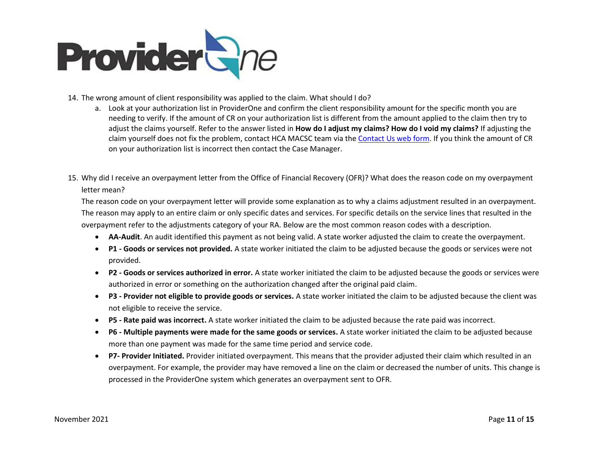

- 14. The wrong amount of client responsibility was applied to the claim. What should I do?
	- a. Look at your authorization list in ProviderOne and confirm the client responsibility amount for the specific month you are needing to verify. If the amount of CR on your authorization list is different from the amount applied to the claim then try to adjust the claims yourself. Refer to the answer listed in **How do I adjust my claims? How do I void my claims?** If adjusting the claim yourself does not fix the problem, contact HCA MACSC team via the [Contact Us web form.](https://fortress.wa.gov/hca/p1contactus/SSProvider_WebForm) If you think the amount of CR on your authorization list is incorrect then contact the Case Manager.
- 15. Why did I receive an overpayment letter from the Office of Financial Recovery (OFR)? What does the reason code on my overpayment letter mean?

The reason code on your overpayment letter will provide some explanation as to why a claims adjustment resulted in an overpayment. The reason may apply to an entire claim or only specific dates and services. For specific details on the service lines that resulted in the overpayment refer to the adjustments category of your RA. Below are the most common reason codes with a description.

- **AA-Audit**. An audit identified this payment as not being valid. A state worker adjusted the claim to create the overpayment.
- **P1 - Goods or services not provided.** A state worker initiated the claim to be adjusted because the goods or services were not provided.
- **P2 - Goods or services authorized in error.** A state worker initiated the claim to be adjusted because the goods or services were authorized in error or something on the authorization changed after the original paid claim.
- **P3 - Provider not eligible to provide goods or services.** A state worker initiated the claim to be adjusted because the client was not eligible to receive the service.
- **P5 - Rate paid was incorrect.** A state worker initiated the claim to be adjusted because the rate paid was incorrect.
- **P6 - Multiple payments were made for the same goods or services.** A state worker initiated the claim to be adjusted because more than one payment was made for the same time period and service code.
- **P7- Provider Initiated.** Provider initiated overpayment. This means that the provider adjusted their claim which resulted in an overpayment. For example, the provider may have removed a line on the claim or decreased the number of units. This change is processed in the ProviderOne system which generates an overpayment sent to OFR.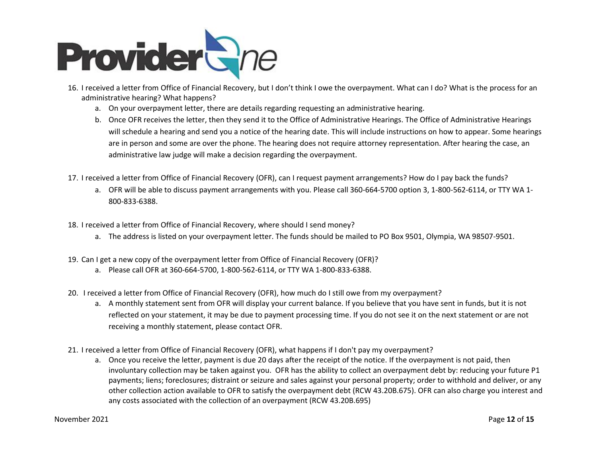

- 16. I received a letter from Office of Financial Recovery, but I don't think I owe the overpayment. What can I do? What is the process for an administrative hearing? What happens?
	- a. On your overpayment letter, there are details regarding requesting an administrative hearing.
	- b. Once OFR receives the letter, then they send it to the Office of Administrative Hearings. The Office of Administrative Hearings will schedule a hearing and send you a notice of the hearing date. This will include instructions on how to appear. Some hearings are in person and some are over the phone. The hearing does not require attorney representation. After hearing the case, an administrative law judge will make a decision regarding the overpayment.
- 17. I received a letter from Office of Financial Recovery (OFR), can I request payment arrangements? How do I pay back the funds?
	- a. OFR will be able to discuss payment arrangements with you. Please call 360-664-5700 option 3, 1-800-562-6114, or TTY WA 1- 800-833-6388.
- 18. I received a letter from Office of Financial Recovery, where should I send money?
	- a. The address is listed on your overpayment letter. The funds should be mailed to PO Box 9501, Olympia, WA 98507-9501.
- 19. Can I get a new copy of the overpayment letter from Office of Financial Recovery (OFR)?
	- a. Please call OFR at 360-664-5700, 1-800-562-6114, or TTY WA 1-800-833-6388.
- 20. I received a letter from Office of Financial Recovery (OFR), how much do I still owe from my overpayment?
	- a. A monthly statement sent from OFR will display your current balance. If you believe that you have sent in funds, but it is not reflected on your statement, it may be due to payment processing time. If you do not see it on the next statement or are not receiving a monthly statement, please contact OFR.
- 21. I received a letter from Office of Financial Recovery (OFR), what happens if I don't pay my overpayment?
	- a. Once you receive the letter, payment is due 20 days after the receipt of the notice. If the overpayment is not paid, then involuntary collection may be taken against you. OFR has the ability to collect an overpayment debt by: reducing your future P1 payments; liens; foreclosures; distraint or seizure and sales against your personal property; order to withhold and deliver, or any other collection action available to OFR to satisfy the overpayment debt (RCW 43.20B.675). OFR can also charge you interest and any costs associated with the collection of an overpayment (RCW 43.20B.695)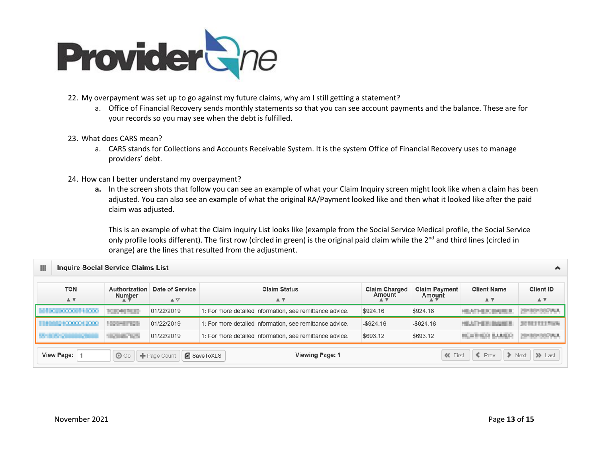

- 22. My overpayment was set up to go against my future claims, why am I still getting a statement?
	- a. Office of Financial Recovery sends monthly statements so that you can see account payments and the balance. These are for your records so you may see when the debt is fulfilled.
- 23. What does CARS mean?
	- a. CARS stands for Collections and Accounts Receivable System. It is the system Office of Financial Recovery uses to manage providers' debt.
- 24. How can I better understand my overpayment?
	- **a.** In the screen shots that follow you can see an example of what your Claim Inquiry screen might look like when a claim has been adjusted. You can also see an example of what the original RA/Payment looked like and then what it looked like after the paid claim was adjusted.

This is an example of what the Claim inquiry List looks like (example from the Social Service Medical profile, the Social Service only profile looks different). The first row (circled in green) is the original paid claim while the 2<sup>nd</sup> and third lines (circled in orange) are the lines that resulted from the adjustment.

| ⊞                                         | <b>Inquire Social Service Claims List</b><br>灬                                                                                                                                                                                                                                          |                                  |                                                          |              |                |                      |                           |  |  |  |  |  |  |  |  |
|-------------------------------------------|-----------------------------------------------------------------------------------------------------------------------------------------------------------------------------------------------------------------------------------------------------------------------------------------|----------------------------------|----------------------------------------------------------|--------------|----------------|----------------------|---------------------------|--|--|--|--|--|--|--|--|
| <b>TCN</b><br>$\triangle$ $\triangledown$ | Date of Service<br><b>Claim Status</b><br>Authorization<br><b>Claim Payment</b><br><b>Client Name</b><br><b>Claim Charged</b><br>Amount<br>Amount<br>Number<br>$\blacktriangle \triangledown$<br>$\triangle$ $\triangledown$<br>$\blacktriangle$ $\blacktriangledown$<br>$\mathbf{A}$ v |                                  |                                                          |              |                |                      |                           |  |  |  |  |  |  |  |  |
| <b>CONTRACTOR</b>                         | TOTAL PLUS                                                                                                                                                                                                                                                                              | 01/22/2019                       | 1: For more detailed information, see remittance advice. | \$924.16     | \$924.16       | ATHER BATES          |                           |  |  |  |  |  |  |  |  |
| MALE & 000000 \$ 2000                     | <b>NOVATION</b>                                                                                                                                                                                                                                                                         | 01/22/2019                       | 1: For more detailed information, see remittance advice. | $-$ \$924.16 | $-$ \$924.16   | HEATHER: BAUSER      | 2010/01/1898              |  |  |  |  |  |  |  |  |
|                                           | <b>CONTRACTOR</b>                                                                                                                                                                                                                                                                       | 01/22/2019                       | 1: For more detailed information, see remittance advice. | \$693.12     | \$693.12       | <b>HEATHER BANKS</b> | <b>CONTRACTOR</b>         |  |  |  |  |  |  |  |  |
| <b>View Page:</b>                         | $\odot$ Go                                                                                                                                                                                                                                                                              | $\blacktriangleright$ Page Count | <b>Viewing Page: 1</b><br>SaveToXLS                      |              | <b>《</b> First | $\epsilon$ Prev      | $\gg$ Last<br><b>Next</b> |  |  |  |  |  |  |  |  |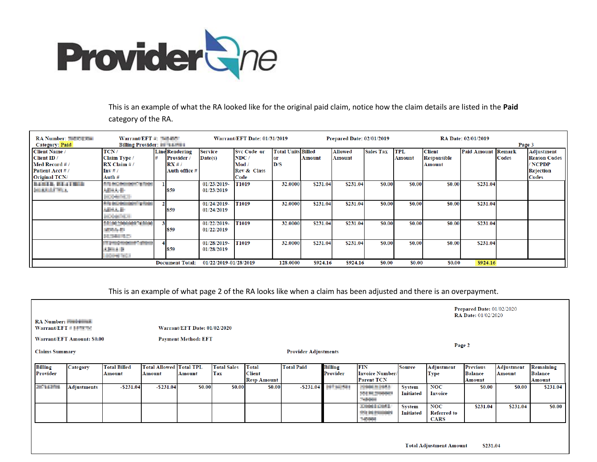

This is an example of what the RA looked like for the original paid claim, notice how the claim details are listed in the **Paid** category of the RA.

| <b>RA Number: The Lines</b> | Warrant/EFT $#$ : Talker II            |  |                        |                       | Warrant/EFT Date: 01/31/2019 |                           |               | <b>Prepared Date: 02/01/2019</b> |                  |               |                    | <b>RA Date: 02/01/2019</b> |        |                     |
|-----------------------------|----------------------------------------|--|------------------------|-----------------------|------------------------------|---------------------------|---------------|----------------------------------|------------------|---------------|--------------------|----------------------------|--------|---------------------|
| <b>Category: Paid</b>       | <b>Billing Provider: NOW THEFT III</b> |  |                        |                       |                              |                           |               |                                  |                  |               |                    |                            | Page 3 |                     |
| <b>Client Name</b> /        | TCN/                                   |  | <b>Line Rendering</b>  | <b>Service</b>        | <b>Svc Code or</b>           | <b>Total Units Billed</b> |               | <b>Allowed</b>                   | <b>Sales Tax</b> | <b>TPL</b>    | <b>Client</b>      | <b>Paid Amount Remark</b>  |        | Adjustment          |
| Client ID /                 | Claim Type /                           |  | <b>Provider</b>        | $\mathbf{Date}(s)$    | NDC/                         |                           | <b>Amount</b> | Amount                           |                  | <b>Amount</b> | <b>Responsible</b> |                            | Codes  | <b>Reason Codes</b> |
| Med Record #/               | RX Claim #/                            |  | RX#/                   |                       | Mod /                        | D/S                       |               |                                  |                  |               | Amount             |                            |        | / NCPDP             |
| Patient Acct #/             | $\mathbf{Inv}$ # /                     |  | Auth office #          |                       | Rev & Class                  |                           |               |                                  |                  |               |                    |                            |        | Rejection           |
| <b>Original TCN/</b>        | Auth $#$                               |  |                        |                       | Code                         |                           |               |                                  |                  |               |                    |                            |        | Codes               |
| <b>BARTH BEATTER</b>        | <b>AN BOARDON TIME</b>                 |  |                        | 01/23/2019-           | T1019                        | 32.0000                   | \$231.04      | \$231.04                         | \$0.00           | \$0.00        | \$0.00             | \$231.04                   |        |                     |
| <b><i>PERMITTLE</i></b>     | ABMA-B-                                |  | 859                    | 01/23/2019            |                              |                           |               |                                  |                  |               |                    |                            |        |                     |
|                             | <b>KONSTRUCT</b>                       |  |                        |                       |                              |                           |               |                                  |                  |               |                    |                            |        |                     |
|                             | A R ES MODERN TOOL                     |  |                        | 01/24/2019-           | T1019                        | 32.0000                   | \$231.04      | \$231.04                         | \$0.00           | \$0.00        | \$0.00             | \$231.04                   |        |                     |
|                             | <b>SEALE</b>                           |  | 859                    | 01/24/2019            |                              |                           |               |                                  |                  |               |                    |                            |        |                     |
|                             | <b>KOOMINUM</b>                        |  |                        |                       |                              |                           |               |                                  |                  |               |                    |                            |        |                     |
|                             | <b>E BE AN INDIANA DE THIRLE</b>       |  |                        | $01/22/2019$ -        | <b>T1019</b>                 | 32.0000                   | \$231.04      | \$231.04                         | \$0.00           | \$0.00        | \$0.00             | \$231.04                   |        |                     |
|                             | <b>ATAN DI</b>                         |  | 859                    | 01/22/2019            |                              |                           |               |                                  |                  |               |                    |                            |        |                     |
|                             | <b>HUNTER</b>                          |  |                        |                       |                              |                           |               |                                  |                  |               |                    |                            |        |                     |
|                             | <b>CENTRAL CONTRACTOR</b>              |  |                        | 01/28/2019-           | T1019                        | 32.0000                   | \$231.04      | \$231.04                         | \$0.00           | \$0.00        | \$0.00             | \$231.04                   |        |                     |
|                             | <b>Allman Dr</b>                       |  | 859                    | 01/28/2019            |                              |                           |               |                                  |                  |               |                    |                            |        |                     |
|                             | <b>JOHN YOU</b>                        |  |                        |                       |                              |                           |               |                                  |                  |               |                    |                            |        |                     |
|                             |                                        |  | <b>Document Total:</b> | 01/22/2019-01/28/2019 |                              | 128.0000                  | \$924.16      | <b>\$924.16</b>                  | <b>SO.00</b>     | <b>SO.00</b>  | \$0.00             | \$924.16                   |        |                     |

This is an example of what page 2 of the RA looks like when a claim has been adjusted and there is an overpayment.

|                                                                  |                                   |                               |                                          |                              |                                  |                                                     |                   |                       |                                                              |                                   |                                                 | <b>Prepared Date: 01/02/2020</b><br><b>RA Date: 01/02/2020</b> |                             |                                       |
|------------------------------------------------------------------|-----------------------------------|-------------------------------|------------------------------------------|------------------------------|----------------------------------|-----------------------------------------------------|-------------------|-----------------------|--------------------------------------------------------------|-----------------------------------|-------------------------------------------------|----------------------------------------------------------------|-----------------------------|---------------------------------------|
| <b>RA Number:</b> Final Lines<br>Warrant/EFT $\#$ $\blacksquare$ |                                   |                               |                                          | Warrant/EFT Date: 01/02/2020 |                                  |                                                     |                   |                       |                                                              |                                   |                                                 |                                                                |                             |                                       |
|                                                                  | <b>Warrant/EFT Amount: \$0.00</b> |                               |                                          | <b>Payment Method: EFT</b>   |                                  |                                                     |                   |                       |                                                              |                                   |                                                 | Page 2                                                         |                             |                                       |
|                                                                  | <b>Claims Summary</b>             |                               |                                          | <b>Provider Adjustments</b>  |                                  |                                                     |                   |                       |                                                              |                                   |                                                 |                                                                |                             |                                       |
| <b>Billing</b><br>Provider                                       | <b>Category</b>                   | <b>Total Billed</b><br>Amount | <b>Total Allowed Total TPL</b><br>Amount | Amount                       | <b>Total Sales</b><br><b>Tax</b> | <b>Total</b><br><b>Client</b><br><b>Resp Amount</b> | <b>Total Paid</b> | Billing<br>Provider   | <b>FIN</b><br><b>Invoice Number/</b><br><b>Parent TCN</b>    | Source                            | <b>Adjustment</b><br><b>Type</b>                | <b>Previous</b><br><b>Balance</b><br>Amount                    | <b>Adjustment</b><br>Amount | Remaining<br><b>Balance</b><br>Amount |
| <b>START COMPANY</b>                                             | <b>Adjustments</b>                | $-$ \$231.04                  | $-$ \$231.04                             | \$0.00                       | \$0.00                           | \$0.00                                              |                   | $-$ \$231.04 <b>H</b> | 2010/01/19<br>AN BEZONNER<br><b>Telephone</b>                | <b>System</b><br><b>Initiated</b> | <b>NOC</b><br>Invoice                           | \$0.00                                                         | \$0.00                      | \$231.04                              |
|                                                                  |                                   |                               |                                          |                              |                                  |                                                     |                   |                       | <b><i>DISK DIAT</i></b><br>THE REPORT OF<br>______<br>242494 | System<br><b>Initiated</b>        | <b>NOC</b><br><b>Referred to</b><br><b>CARS</b> | \$231.04                                                       | \$231.04                    | \$0.00                                |
|                                                                  |                                   |                               |                                          |                              |                                  |                                                     |                   |                       |                                                              |                                   |                                                 |                                                                |                             |                                       |
|                                                                  |                                   |                               |                                          |                              |                                  |                                                     |                   |                       |                                                              |                                   | <b>Total Adjustment Amount</b>                  | \$231.04                                                       |                             |                                       |